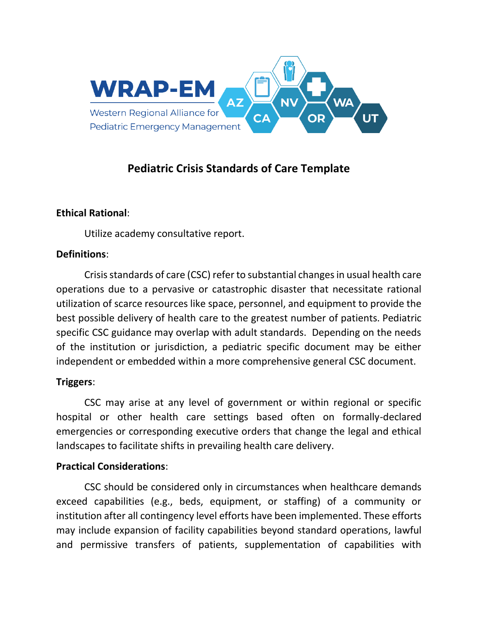

## **Pediatric Crisis Standards of Care Template**

## **Ethical Rational**:

Utilize academy consultative report.

### **Definitions**:

Crisis standards of care (CSC) refer to substantial changesin usual health care operations due to a pervasive or catastrophic disaster that necessitate rational utilization of scarce resources like space, personnel, and equipment to provide the best possible delivery of health care to the greatest number of patients. Pediatric specific CSC guidance may overlap with adult standards. Depending on the needs of the institution or jurisdiction, a pediatric specific document may be either independent or embedded within a more comprehensive general CSC document.

## **Triggers**:

CSC may arise at any level of government or within regional or specific hospital or other health care settings based often on formally-declared emergencies or corresponding executive orders that change the legal and ethical landscapes to facilitate shifts in prevailing health care delivery.

#### **Practical Considerations**:

CSC should be considered only in circumstances when healthcare demands exceed capabilities (e.g., beds, equipment, or staffing) of a community or institution after all contingency level efforts have been implemented. These efforts may include expansion of facility capabilities beyond standard operations, lawful and permissive transfers of patients, supplementation of capabilities with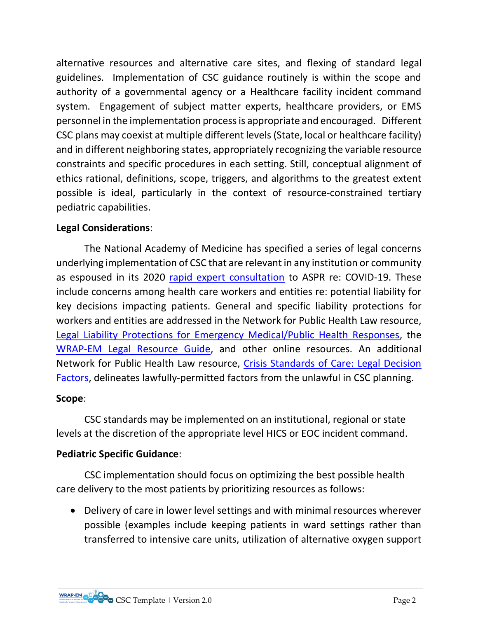alternative resources and alternative care sites, and flexing of standard legal guidelines. Implementation of CSC guidance routinely is within the scope and authority of a governmental agency or a Healthcare facility incident command system. Engagement of subject matter experts, healthcare providers, or EMS personnel in the implementation process is appropriate and encouraged. Different CSC plans may coexist at multiple different levels (State, local or healthcare facility) and in different neighboring states, appropriately recognizing the variable resource constraints and specific procedures in each setting. Still, conceptual alignment of ethics rational, definitions, scope, triggers, and algorithms to the greatest extent possible is ideal, particularly in the context of resource-constrained tertiary pediatric capabilities.

## **Legal Considerations**:

The National Academy of Medicine has specified a series of legal concerns underlying implementation of CSC that are relevant in any institution or community as espoused in its 2020 [rapid expert consultation](https://www.nap.edu/catalog/25765/rapid-expert-consultation-on-crisis-standards-of-care-for-the-covid-19-pandemic-march-28-2020) to ASPR re: COVID-19. These include concerns among health care workers and entities re: potential liability for key decisions impacting patients. General and specific liability protections for workers and entities are addressed in the Network for Public Health Law resource, [Legal Liability Protections for Emergency Medical/Public Health Responses,](https://www.networkforphl.org/resources/legal-liability-protections-for-emergency-medical-public-health-responses/) the [WRAP-EM Legal Resource Guide,](https://wrap-em.org/images/2021/WRAP-EM_Legal_Guide_-_Report.pdf) and other online resources. An additional Network for Public Health Law resource, [Crisis Standards of Care: Legal Decision](https://www.networkforphl.org/wp-content/uploads/2021/09/CSC-Legal-Factors.pdf)  [Factors,](https://www.networkforphl.org/wp-content/uploads/2021/09/CSC-Legal-Factors.pdf) delineates lawfully-permitted factors from the unlawful in CSC planning.

## **Scope**:

CSC standards may be implemented on an institutional, regional or state levels at the discretion of the appropriate level HICS or EOC incident command.

## **Pediatric Specific Guidance**:

CSC implementation should focus on optimizing the best possible health care delivery to the most patients by prioritizing resources as follows:

• Delivery of care in lower level settings and with minimal resources wherever possible (examples include keeping patients in ward settings rather than transferred to intensive care units, utilization of alternative oxygen support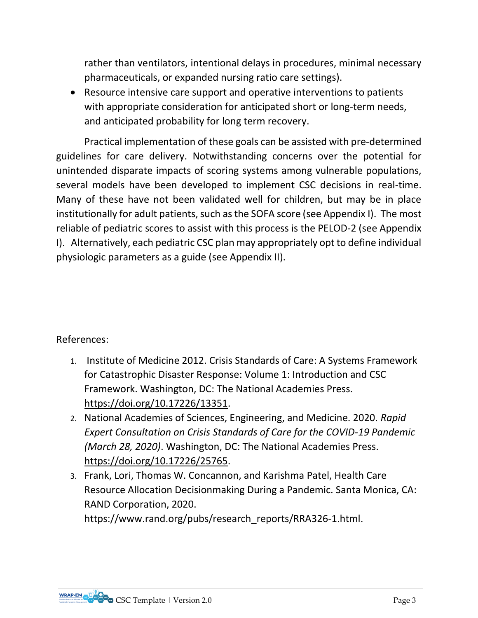rather than ventilators, intentional delays in procedures, minimal necessary pharmaceuticals, or expanded nursing ratio care settings).

• Resource intensive care support and operative interventions to patients with appropriate consideration for anticipated short or long-term needs, and anticipated probability for long term recovery.

Practical implementation of these goals can be assisted with pre-determined guidelines for care delivery. Notwithstanding concerns over the potential for unintended disparate impacts of scoring systems among vulnerable populations, several models have been developed to implement CSC decisions in real-time. Many of these have not been validated well for children, but may be in place institutionally for adult patients, such as the SOFA score (see Appendix I). The most reliable of pediatric scores to assist with this process is the PELOD-2 (see Appendix I). Alternatively, each pediatric CSC plan may appropriately opt to define individual physiologic parameters as a guide (see Appendix II).

References:

- 1. Institute of Medicine 2012. Crisis Standards of Care: A Systems Framework for Catastrophic Disaster Response: Volume 1: Introduction and CSC Framework. Washington, DC: The National Academies Press. [https://doi.org/10.17226/13351.](https://doi.org/10.17226/13351)
- 2. National Academies of Sciences, Engineering, and Medicine. 2020. *Rapid Expert Consultation on Crisis Standards of Care for the COVID-19 Pandemic (March 28, 2020)*. Washington, DC: The National Academies Press. [https://doi.org/10.17226/25765.](https://doi.org/10.17226/25765)
- 3. Frank, Lori, Thomas W. Concannon, and Karishma Patel, Health Care Resource Allocation Decisionmaking During a Pandemic. Santa Monica, CA: RAND Corporation, 2020. https://www.rand.org/pubs/research\_reports/RRA326-1.html.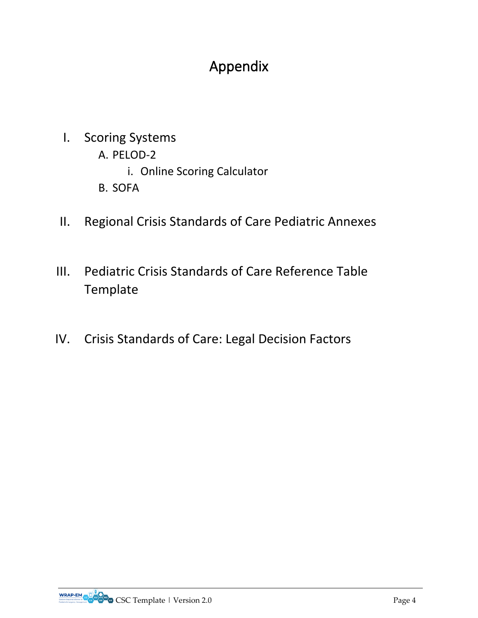# Appendix

- I. Scoring Systems
	- A. PELOD-2
		- i. Online Scoring Calculator
	- B. SOFA
- II. Regional Crisis Standards of Care Pediatric Annexes
- III. Pediatric Crisis Standards of Care Reference Table Template
- IV. Crisis Standards of Care: Legal Decision Factors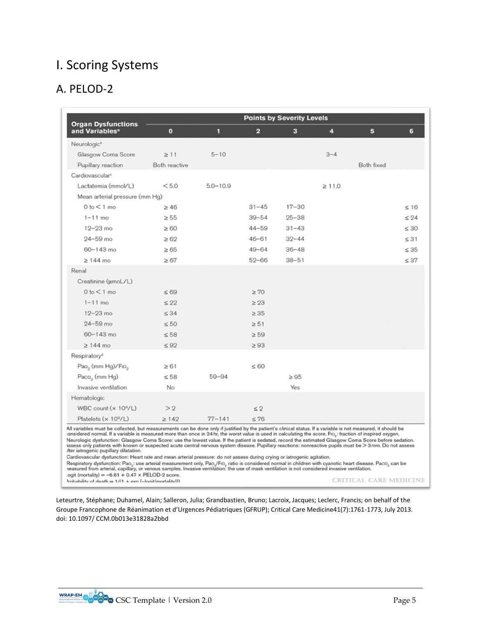## I. Scoring Systems

## A. PELOD-2

|                                                                                                                                                                                                                                                                                                                                                                                                                                                                                                                                                                                                                                                                                                                                                                                                                                                                                                                                                                                                                                                                                                                                      | <b>Points by Severity Levels</b> |              |           |           |             |            |           |
|--------------------------------------------------------------------------------------------------------------------------------------------------------------------------------------------------------------------------------------------------------------------------------------------------------------------------------------------------------------------------------------------------------------------------------------------------------------------------------------------------------------------------------------------------------------------------------------------------------------------------------------------------------------------------------------------------------------------------------------------------------------------------------------------------------------------------------------------------------------------------------------------------------------------------------------------------------------------------------------------------------------------------------------------------------------------------------------------------------------------------------------|----------------------------------|--------------|-----------|-----------|-------------|------------|-----------|
| <b>Organ Dysfunctions</b><br>and Variables <sup>a</sup>                                                                                                                                                                                                                                                                                                                                                                                                                                                                                                                                                                                                                                                                                                                                                                                                                                                                                                                                                                                                                                                                              | $\mathbf{o}$                     | 1            | 2         | 3         | 4           | 5          | 6         |
| Neurologic <sup>b</sup>                                                                                                                                                                                                                                                                                                                                                                                                                                                                                                                                                                                                                                                                                                                                                                                                                                                                                                                                                                                                                                                                                                              |                                  |              |           |           |             |            |           |
| Glasgow Coma Score                                                                                                                                                                                                                                                                                                                                                                                                                                                                                                                                                                                                                                                                                                                                                                                                                                                                                                                                                                                                                                                                                                                   | $\geq$ 11                        | $5 - 10$     |           |           | $3 - 4$     |            |           |
| Pupillary reaction                                                                                                                                                                                                                                                                                                                                                                                                                                                                                                                                                                                                                                                                                                                                                                                                                                                                                                                                                                                                                                                                                                                   | Both reactive                    |              |           |           |             | Both fixed |           |
| Cardiovascular <sup>c</sup>                                                                                                                                                                                                                                                                                                                                                                                                                                                                                                                                                                                                                                                                                                                                                                                                                                                                                                                                                                                                                                                                                                          |                                  |              |           |           |             |            |           |
| Lactatemia (mmol/L)                                                                                                                                                                                                                                                                                                                                                                                                                                                                                                                                                                                                                                                                                                                                                                                                                                                                                                                                                                                                                                                                                                                  | < 5.0                            | $5.0 - 10.9$ |           |           | $\geq 11.0$ |            |           |
| Mean arterial pressure (mm Hg)                                                                                                                                                                                                                                                                                                                                                                                                                                                                                                                                                                                                                                                                                                                                                                                                                                                                                                                                                                                                                                                                                                       |                                  |              |           |           |             |            |           |
| $0 to < 1$ mo                                                                                                                                                                                                                                                                                                                                                                                                                                                                                                                                                                                                                                                                                                                                                                                                                                                                                                                                                                                                                                                                                                                        | $\geq 46$                        |              | $31 - 45$ | $17 - 30$ |             |            | $\leq 16$ |
| $1 - 11$ mo                                                                                                                                                                                                                                                                                                                                                                                                                                                                                                                                                                                                                                                                                                                                                                                                                                                                                                                                                                                                                                                                                                                          | $\geq 55$                        |              | $39 - 54$ | $25 - 38$ |             |            | < 24      |
| $12 - 23$ mo                                                                                                                                                                                                                                                                                                                                                                                                                                                                                                                                                                                                                                                                                                                                                                                                                                                                                                                                                                                                                                                                                                                         | $\geq 60$                        |              | $44 - 59$ | $31 - 43$ |             |            | $\leq 30$ |
| $24 - 59$ mo                                                                                                                                                                                                                                                                                                                                                                                                                                                                                                                                                                                                                                                                                                                                                                                                                                                                                                                                                                                                                                                                                                                         | $\geq 62$                        |              | $46 - 61$ | $32 - 44$ |             |            | $\leq$ 31 |
| $60 - 143$ mo                                                                                                                                                                                                                                                                                                                                                                                                                                                                                                                                                                                                                                                                                                                                                                                                                                                                                                                                                                                                                                                                                                                        | $\geq 65$                        |              | $49 - 64$ | $36 - 48$ |             |            | $\leq 35$ |
| $\geq 144$ mo                                                                                                                                                                                                                                                                                                                                                                                                                                                                                                                                                                                                                                                                                                                                                                                                                                                                                                                                                                                                                                                                                                                        | $\geq 67$                        |              | $52 - 66$ | $38 - 51$ |             |            | $\leq 37$ |
| Renal                                                                                                                                                                                                                                                                                                                                                                                                                                                                                                                                                                                                                                                                                                                                                                                                                                                                                                                                                                                                                                                                                                                                |                                  |              |           |           |             |            |           |
| Creatinine (µmoL/L)                                                                                                                                                                                                                                                                                                                                                                                                                                                                                                                                                                                                                                                                                                                                                                                                                                                                                                                                                                                                                                                                                                                  |                                  |              |           |           |             |            |           |
| $0 to < 1$ mo                                                                                                                                                                                                                                                                                                                                                                                                                                                                                                                                                                                                                                                                                                                                                                                                                                                                                                                                                                                                                                                                                                                        | $\leq 69$                        |              | $\geq 70$ |           |             |            |           |
| $1 - 11$ mo                                                                                                                                                                                                                                                                                                                                                                                                                                                                                                                                                                                                                                                                                                                                                                                                                                                                                                                                                                                                                                                                                                                          | $\leq$ 22                        |              | $\geq$ 23 |           |             |            |           |
| $12 - 23$ mo                                                                                                                                                                                                                                                                                                                                                                                                                                                                                                                                                                                                                                                                                                                                                                                                                                                                                                                                                                                                                                                                                                                         | $\leq$ 34                        |              | $\geq 35$ |           |             |            |           |
| $24 - 59$ mo                                                                                                                                                                                                                                                                                                                                                                                                                                                                                                                                                                                                                                                                                                                                                                                                                                                                                                                                                                                                                                                                                                                         | $\leq 50$                        |              | $\geq 51$ |           |             |            |           |
| $60 - 143$ mo                                                                                                                                                                                                                                                                                                                                                                                                                                                                                                                                                                                                                                                                                                                                                                                                                                                                                                                                                                                                                                                                                                                        | $\leq 58$                        |              | $\geq 59$ |           |             |            |           |
| $\geq 144$ mo                                                                                                                                                                                                                                                                                                                                                                                                                                                                                                                                                                                                                                                                                                                                                                                                                                                                                                                                                                                                                                                                                                                        | $\leq 92$                        |              | $\geq 93$ |           |             |            |           |
| Respiratory <sup>d</sup>                                                                                                                                                                                                                                                                                                                                                                                                                                                                                                                                                                                                                                                                                                                                                                                                                                                                                                                                                                                                                                                                                                             |                                  |              |           |           |             |            |           |
| Pao <sub>2</sub> (mm Hg)/Fio <sub>2</sub>                                                                                                                                                                                                                                                                                                                                                                                                                                                                                                                                                                                                                                                                                                                                                                                                                                                                                                                                                                                                                                                                                            | > 61                             |              | $\leq 60$ |           |             |            |           |
| Paco <sub>2</sub> (mm Hg)                                                                                                                                                                                                                                                                                                                                                                                                                                                                                                                                                                                                                                                                                                                                                                                                                                                                                                                                                                                                                                                                                                            | $\leq 58$                        | $59 - 94$    |           | $\geq 95$ |             |            |           |
| Invasive ventilation                                                                                                                                                                                                                                                                                                                                                                                                                                                                                                                                                                                                                                                                                                                                                                                                                                                                                                                                                                                                                                                                                                                 | No                               |              |           | Yes       |             |            |           |
| Hematologic                                                                                                                                                                                                                                                                                                                                                                                                                                                                                                                                                                                                                                                                                                                                                                                                                                                                                                                                                                                                                                                                                                                          |                                  |              |           |           |             |            |           |
| WBC count $(x 10^9/L)$                                                                                                                                                                                                                                                                                                                                                                                                                                                                                                                                                                                                                                                                                                                                                                                                                                                                                                                                                                                                                                                                                                               | >2                               |              | $\leq 2$  |           |             |            |           |
| Platelets (x 10 <sup>9</sup> /L)                                                                                                                                                                                                                                                                                                                                                                                                                                                                                                                                                                                                                                                                                                                                                                                                                                                                                                                                                                                                                                                                                                     | $\geq 142$                       | $77 - 141$   | $\leq 76$ |           |             |            |           |
| All variables must be collected, but measurements can be done only if justified by the patient's clinical status. If a variable is not measured, it should be<br>onsidered normal. If a variable is measured more than once in 24 hr, the worst value is used in calculating the score. Fio,: fraction of inspired oxygen.<br>Neurologic dysfunction: Glasgow Coma Score: use the lowest value. If the patient is sedated, record the estimated Glasgow Coma Score before sedation.<br>kssess only patients with known or suspected acute central nervous system disease. Pupillary reactions: nonreactive pupils must be $>$ 3 mm. Do not assess<br>fter iatrogenic pupillary dilatation.<br>Cardiovascular dysfunction: Heart rate and mean arterial pressure: do not assess during crying or iatrogenic agitation.<br>Respiratory dysfunction: Pao": use arterial measurement only. Pao"/Fio" ratio is considered normal in children with cyanotic heart disease. Paco" can be<br>neasured from arterial, capillary, or venous samples. Invasive ventilation: the use of mask ventilation is not considered invasive ventilation. |                                  |              |           |           |             |            |           |

ogit (mortality) = -6.61 + 0.47 × PELOD-2 score.<br>  $\lambda$ robability of death = 1/(1 + exp [-logit(mortality)])

CRITICAL CARE MEDICINE

Leteurtre, Stéphane; Duhamel, Alain; Salleron, Julia; Grandbastien, Bruno; Lacroix, Jacques; Leclerc, Francis; on behalf of the Groupe Francophone de Réanimation et d'Urgences Pédiatriques (GFRUP); Critical Care Medicine41(7):1761-1773, July 2013. doi: 10.1097/ CCM.0b013e31828a2bbd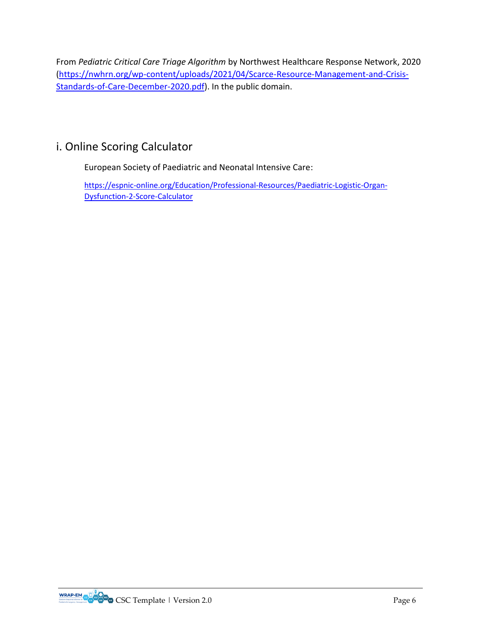From *Pediatric Critical Care Triage Algorithm* by Northwest Healthcare Response Network, 2020 [\(https://nwhrn.org/wp-content/uploads/2021/04/Scarce-Resource-Management-and-Crisis-](https://nwhrn.org/wp-content/uploads/2021/04/Scarce-Resource-Management-and-Crisis-Standards-of-Care-December-2020.pdf)[Standards-of-Care-December-2020.pdf\)](https://nwhrn.org/wp-content/uploads/2021/04/Scarce-Resource-Management-and-Crisis-Standards-of-Care-December-2020.pdf). In the public domain.

## i. Online Scoring Calculator

European Society of Paediatric and Neonatal Intensive Care:

[https://espnic-online.org/Education/Professional-Resources/Paediatric-Logistic-Organ-](https://espnic-online.org/Education/Professional-Resources/Paediatric-Logistic-Organ-Dysfunction-2-Score-Calculator)[Dysfunction-2-Score-Calculator](https://espnic-online.org/Education/Professional-Resources/Paediatric-Logistic-Organ-Dysfunction-2-Score-Calculator)

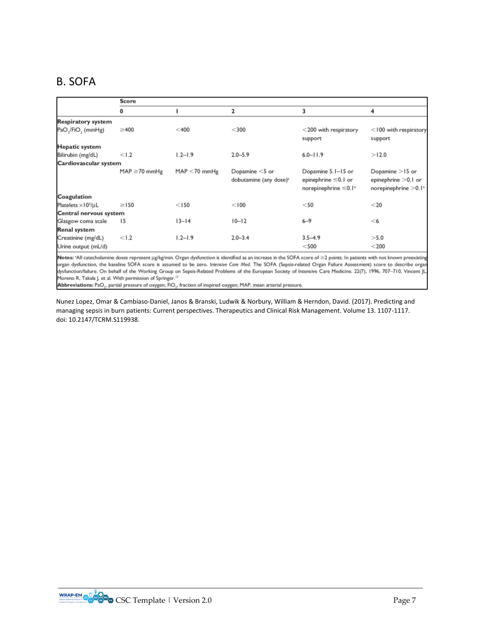## B. SOFA

|                                           | Score             |                 |                                                         |                                                                                     |                                                                                   |  |  |  |
|-------------------------------------------|-------------------|-----------------|---------------------------------------------------------|-------------------------------------------------------------------------------------|-----------------------------------------------------------------------------------|--|--|--|
|                                           | 0                 |                 | $\overline{\mathbf{2}}$                                 | 3                                                                                   | 4                                                                                 |  |  |  |
| <b>Respiratory system</b>                 |                   |                 |                                                         |                                                                                     |                                                                                   |  |  |  |
| PaO <sub>~</sub> /FiO <sub>~</sub> (mmHg) | $\geq$ 400        | $<$ 400         | $<$ 300                                                 | $<$ 200 with respiratory<br>support                                                 | $<$ 100 with respiratory<br>support                                               |  |  |  |
| <b>Hepatic system</b>                     |                   |                 |                                                         |                                                                                     |                                                                                   |  |  |  |
| Bilirubin (mg/dL)                         | < 1.2             | $1.2 - 1.9$     | $2.0 - 5.9$                                             | $6.0 - 11.9$                                                                        | >12.0                                                                             |  |  |  |
| Cardiovascular system                     |                   |                 |                                                         |                                                                                     |                                                                                   |  |  |  |
|                                           | $MAP \ge 70$ mmHg | $MAP < 70$ mmHg | Dopamine $<$ 5 or<br>dobutamine (any dose) <sup>a</sup> | Dopamine 5.1–15 or<br>epinephrine ≤0.1 or<br>norepinephrine $\leq 0.1$ <sup>a</sup> | Dopamine $>$ 15 or<br>epinephrine > 0.1 or<br>norepinephrine $>$ 0.1 <sup>a</sup> |  |  |  |
| Coagulation                               |                   |                 |                                                         |                                                                                     |                                                                                   |  |  |  |
| Platelets $\times$ 10 <sup>3</sup> /µL    | $\geq$ 150        | < 150           | < 100                                                   | $<$ 50                                                                              | $<$ 20                                                                            |  |  |  |
| Central nervous system                    |                   |                 |                                                         |                                                                                     |                                                                                   |  |  |  |
| Glasgow coma scale                        | 15                | $13 - 14$       | $10 - 12$                                               | $6 - 9$                                                                             | $<$ 6                                                                             |  |  |  |
| Renal system                              |                   |                 |                                                         |                                                                                     |                                                                                   |  |  |  |
| Creatinine (mg/dL)                        | < 1.2             | $1.2 - 1.9$     | $2.0 - 3.4$                                             | $3.5 - 4.9$                                                                         | >5.0                                                                              |  |  |  |
| Urine output (mL/d)                       |                   |                 |                                                         | $<$ 500                                                                             | $<$ 200                                                                           |  |  |  |

Notes: \*All catecholamine doses represent µg/kg/min. Organ dysfunction is identified as an increase in the SOFA score of ≥2 points. In patients with not known preexisting organ dysfunction, the baseline SOFA score is assumed to be zero. Intensive Care Med. The SOFA (Sepsis-related Organ Failure Assessment) score to describe organ dysfunction/failure. On behalf of the Working Group on Sepsis-Related Problems of the European Society of Intensive Care Medicine. 22(7), 1996, 707-710, Vincent JL Moreno R, Takala J, et al. With permission of Springer.<sup>17</sup>

Abbreviations: PaO<sub>2</sub>, partial pressure of oxygen; FIO<sub>2</sub>, fraction of inspired oxygen; MAP, mean arterial pressure.

Nunez Lopez, Omar & Cambiaso-Daniel, Janos & Branski, Ludwik & Norbury, William & Herndon, David. (2017). Predicting and managing sepsis in burn patients: Current perspectives. Therapeutics and Clinical Risk Management. Volume 13. 1107-1117. doi: 10.2147/TCRM.S119938.

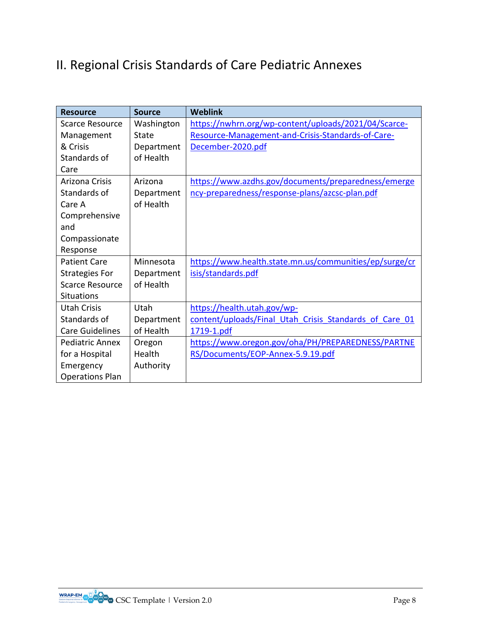# II. Regional Crisis Standards of Care Pediatric Annexes

| <b>Resource</b>        | <b>Source</b> | <b>Weblink</b>                                         |
|------------------------|---------------|--------------------------------------------------------|
| <b>Scarce Resource</b> | Washington    | https://nwhrn.org/wp-content/uploads/2021/04/Scarce-   |
| Management             | State         | Resource-Management-and-Crisis-Standards-of-Care-      |
| & Crisis               | Department    | December-2020.pdf                                      |
| Standards of           | of Health     |                                                        |
| Care                   |               |                                                        |
| <b>Arizona Crisis</b>  | Arizona       | https://www.azdhs.gov/documents/preparedness/emerge    |
| Standards of           | Department    | ncy-preparedness/response-plans/azcsc-plan.pdf         |
| Care A                 | of Health     |                                                        |
| Comprehensive          |               |                                                        |
| and                    |               |                                                        |
| Compassionate          |               |                                                        |
| Response               |               |                                                        |
| <b>Patient Care</b>    | Minnesota     | https://www.health.state.mn.us/communities/ep/surge/cr |
| <b>Strategies For</b>  | Department    | isis/standards.pdf                                     |
| <b>Scarce Resource</b> | of Health     |                                                        |
| <b>Situations</b>      |               |                                                        |
| <b>Utah Crisis</b>     | Utah          | https://health.utah.gov/wp-                            |
| Standards of           | Department    | content/uploads/Final Utah Crisis Standards of Care 01 |
| <b>Care Guidelines</b> | of Health     | 1719-1.pdf                                             |
| <b>Pediatric Annex</b> | Oregon        | https://www.oregon.gov/oha/PH/PREPAREDNESS/PARTNE      |
| for a Hospital         | Health        | RS/Documents/EOP-Annex-5.9.19.pdf                      |
| Emergency              | Authority     |                                                        |
| <b>Operations Plan</b> |               |                                                        |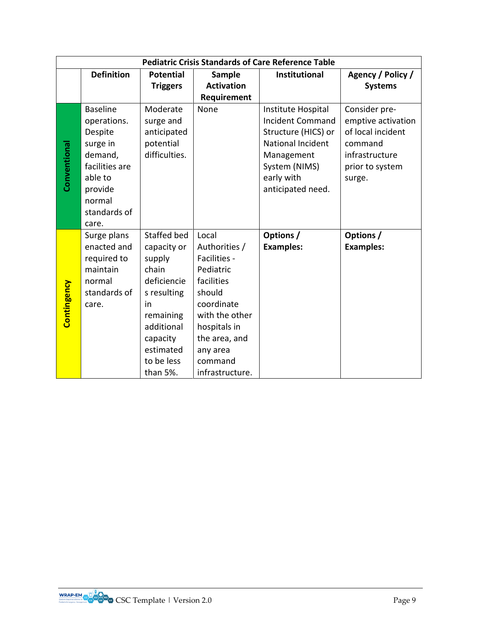|              | <b>Pediatric Crisis Standards of Care Reference Table</b>                                                                                   |                                                                                                                                                                 |                                                                                                                                                                                        |                                                                                                                                                             |                                                                                                                    |  |  |
|--------------|---------------------------------------------------------------------------------------------------------------------------------------------|-----------------------------------------------------------------------------------------------------------------------------------------------------------------|----------------------------------------------------------------------------------------------------------------------------------------------------------------------------------------|-------------------------------------------------------------------------------------------------------------------------------------------------------------|--------------------------------------------------------------------------------------------------------------------|--|--|
|              | <b>Definition</b>                                                                                                                           | <b>Potential</b>                                                                                                                                                | <b>Sample</b>                                                                                                                                                                          | <b>Institutional</b>                                                                                                                                        | Agency / Policy /                                                                                                  |  |  |
|              |                                                                                                                                             | <b>Triggers</b>                                                                                                                                                 | <b>Activation</b>                                                                                                                                                                      |                                                                                                                                                             | <b>Systems</b>                                                                                                     |  |  |
|              |                                                                                                                                             |                                                                                                                                                                 | Requirement                                                                                                                                                                            |                                                                                                                                                             |                                                                                                                    |  |  |
| Conventional | <b>Baseline</b><br>operations.<br>Despite<br>surge in<br>demand,<br>facilities are<br>able to<br>provide<br>normal<br>standards of<br>care. | Moderate<br>surge and<br>anticipated<br>potential<br>difficulties.                                                                                              | None                                                                                                                                                                                   | Institute Hospital<br><b>Incident Command</b><br>Structure (HICS) or<br>National Incident<br>Management<br>System (NIMS)<br>early with<br>anticipated need. | Consider pre-<br>emptive activation<br>of local incident<br>command<br>infrastructure<br>prior to system<br>surge. |  |  |
| Contingency  | Surge plans<br>enacted and<br>required to<br>maintain<br>normal<br>standards of<br>care.                                                    | Staffed bed<br>capacity or<br>supply<br>chain<br>deficiencie<br>s resulting<br>in<br>remaining<br>additional<br>capacity<br>estimated<br>to be less<br>than 5%. | Local<br>Authorities /<br>Facilities -<br>Pediatric<br>facilities<br>should<br>coordinate<br>with the other<br>hospitals in<br>the area, and<br>any area<br>command<br>infrastructure. | Options /<br><b>Examples:</b>                                                                                                                               | Options /<br><b>Examples:</b>                                                                                      |  |  |

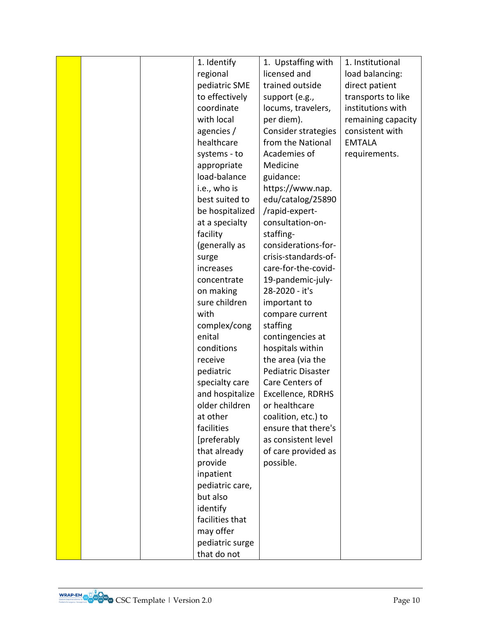|  | 1. Identify     | 1. Upstaffing with   | 1. Institutional   |
|--|-----------------|----------------------|--------------------|
|  | regional        | licensed and         | load balancing:    |
|  | pediatric SME   | trained outside      | direct patient     |
|  | to effectively  | support (e.g.,       | transports to like |
|  | coordinate      | locums, travelers,   | institutions with  |
|  | with local      | per diem).           | remaining capacity |
|  | agencies /      | Consider strategies  | consistent with    |
|  | healthcare      | from the National    | <b>EMTALA</b>      |
|  | systems - to    | Academies of         | requirements.      |
|  | appropriate     | Medicine             |                    |
|  | load-balance    | guidance:            |                    |
|  | i.e., who is    | https://www.nap.     |                    |
|  | best suited to  | edu/catalog/25890    |                    |
|  | be hospitalized | /rapid-expert-       |                    |
|  | at a specialty  | consultation-on-     |                    |
|  | facility        | staffing-            |                    |
|  | (generally as   | considerations-for-  |                    |
|  | surge           | crisis-standards-of- |                    |
|  | increases       | care-for-the-covid-  |                    |
|  | concentrate     | 19-pandemic-july-    |                    |
|  | on making       | 28-2020 - it's       |                    |
|  | sure children   | important to         |                    |
|  | with            | compare current      |                    |
|  | complex/cong    | staffing             |                    |
|  | enital          | contingencies at     |                    |
|  | conditions      | hospitals within     |                    |
|  | receive         | the area (via the    |                    |
|  | pediatric       | Pediatric Disaster   |                    |
|  | specialty care  | Care Centers of      |                    |
|  | and hospitalize | Excellence, RDRHS    |                    |
|  | older children  | or healthcare        |                    |
|  | at other        | coalition, etc.) to  |                    |
|  | facilities      | ensure that there's  |                    |
|  | [preferably     | as consistent level  |                    |
|  | that already    | of care provided as  |                    |
|  | provide         | possible.            |                    |
|  | inpatient       |                      |                    |
|  | pediatric care, |                      |                    |
|  | but also        |                      |                    |
|  | identify        |                      |                    |
|  | facilities that |                      |                    |
|  | may offer       |                      |                    |
|  | pediatric surge |                      |                    |
|  | that do not     |                      |                    |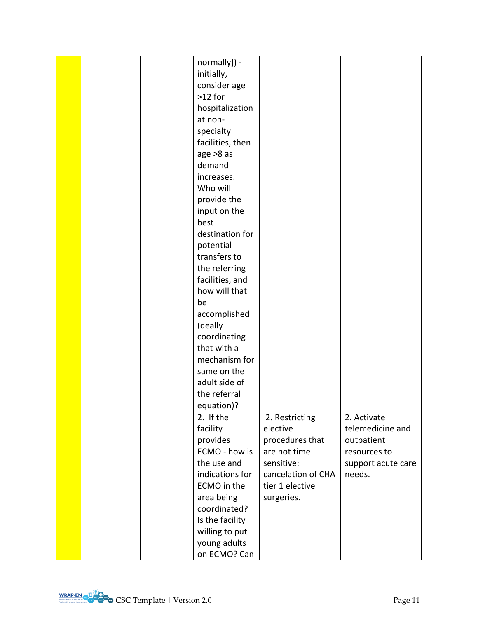|  | normally]) -     |                    |                    |
|--|------------------|--------------------|--------------------|
|  | initially,       |                    |                    |
|  | consider age     |                    |                    |
|  | $>12$ for        |                    |                    |
|  | hospitalization  |                    |                    |
|  | at non-          |                    |                    |
|  | specialty        |                    |                    |
|  | facilities, then |                    |                    |
|  | age > 8 as       |                    |                    |
|  | demand           |                    |                    |
|  | increases.       |                    |                    |
|  | Who will         |                    |                    |
|  | provide the      |                    |                    |
|  | input on the     |                    |                    |
|  | best             |                    |                    |
|  | destination for  |                    |                    |
|  | potential        |                    |                    |
|  | transfers to     |                    |                    |
|  |                  |                    |                    |
|  | the referring    |                    |                    |
|  | facilities, and  |                    |                    |
|  | how will that    |                    |                    |
|  | be               |                    |                    |
|  | accomplished     |                    |                    |
|  | (deally          |                    |                    |
|  | coordinating     |                    |                    |
|  | that with a      |                    |                    |
|  | mechanism for    |                    |                    |
|  | same on the      |                    |                    |
|  | adult side of    |                    |                    |
|  | the referral     |                    |                    |
|  | equation)?       |                    |                    |
|  | 2. If the        | 2. Restricting     | 2. Activate        |
|  | facility         | elective           | telemedicine and   |
|  | provides         | procedures that    | outpatient         |
|  | ECMO - how is    | are not time       | resources to       |
|  | the use and      | sensitive:         | support acute care |
|  | indications for  | cancelation of CHA | needs.             |
|  | ECMO in the      | tier 1 elective    |                    |
|  | area being       | surgeries.         |                    |
|  | coordinated?     |                    |                    |
|  | Is the facility  |                    |                    |
|  | willing to put   |                    |                    |
|  | young adults     |                    |                    |
|  | on ECMO? Can     |                    |                    |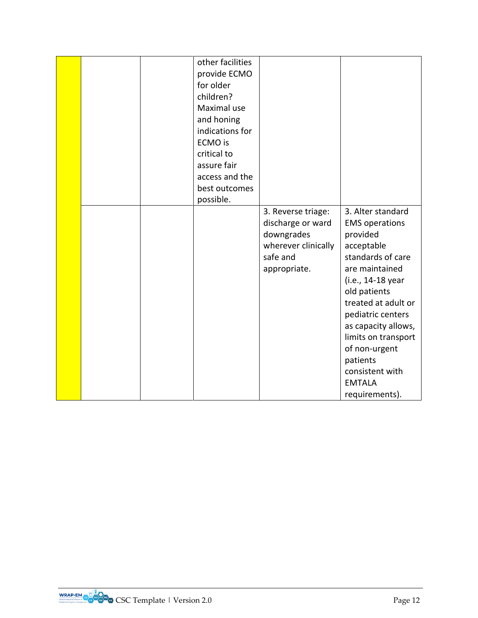|  | other facilities<br>provide ECMO<br>for older<br>children? |                                 |                                 |
|--|------------------------------------------------------------|---------------------------------|---------------------------------|
|  | Maximal use                                                |                                 |                                 |
|  | and honing                                                 |                                 |                                 |
|  | indications for                                            |                                 |                                 |
|  | <b>ECMO</b> is                                             |                                 |                                 |
|  | critical to                                                |                                 |                                 |
|  | assure fair                                                |                                 |                                 |
|  | access and the                                             |                                 |                                 |
|  | best outcomes                                              |                                 |                                 |
|  | possible.                                                  |                                 |                                 |
|  |                                                            | 3. Reverse triage:              | 3. Alter standard               |
|  |                                                            | discharge or ward               | <b>EMS</b> operations           |
|  |                                                            | downgrades                      | provided                        |
|  |                                                            | wherever clinically<br>safe and | acceptable<br>standards of care |
|  |                                                            | appropriate.                    | are maintained                  |
|  |                                                            |                                 | (i.e., 14-18 year               |
|  |                                                            |                                 | old patients                    |
|  |                                                            |                                 | treated at adult or             |
|  |                                                            |                                 | pediatric centers               |
|  |                                                            |                                 | as capacity allows,             |
|  |                                                            |                                 | limits on transport             |
|  |                                                            |                                 | of non-urgent                   |
|  |                                                            |                                 | patients                        |
|  |                                                            |                                 | consistent with                 |
|  |                                                            |                                 | <b>EMTALA</b>                   |
|  |                                                            |                                 | requirements).                  |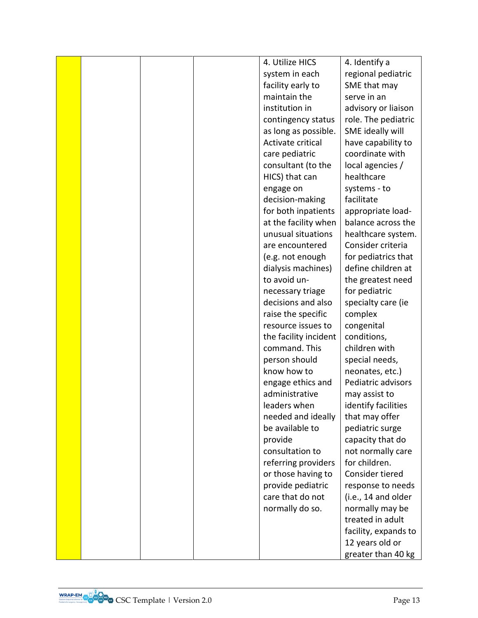|  |  | 4. Utilize HICS       | 4. Identify a        |
|--|--|-----------------------|----------------------|
|  |  | system in each        | regional pediatric   |
|  |  | facility early to     | SME that may         |
|  |  | maintain the          | serve in an          |
|  |  | institution in        | advisory or liaison  |
|  |  | contingency status    | role. The pediatric  |
|  |  | as long as possible.  | SME ideally will     |
|  |  | Activate critical     | have capability to   |
|  |  | care pediatric        | coordinate with      |
|  |  | consultant (to the    | local agencies /     |
|  |  | HICS) that can        | healthcare           |
|  |  | engage on             | systems - to         |
|  |  | decision-making       | facilitate           |
|  |  | for both inpatients   | appropriate load-    |
|  |  | at the facility when  | balance across the   |
|  |  | unusual situations    | healthcare system.   |
|  |  | are encountered       | Consider criteria    |
|  |  | (e.g. not enough      | for pediatrics that  |
|  |  | dialysis machines)    | define children at   |
|  |  | to avoid un-          | the greatest need    |
|  |  | necessary triage      | for pediatric        |
|  |  | decisions and also    | specialty care (ie   |
|  |  | raise the specific    | complex              |
|  |  | resource issues to    | congenital           |
|  |  | the facility incident | conditions,          |
|  |  | command. This         | children with        |
|  |  | person should         | special needs,       |
|  |  | know how to           | neonates, etc.)      |
|  |  | engage ethics and     | Pediatric advisors   |
|  |  | administrative        | may assist to        |
|  |  | leaders when          | identify facilities  |
|  |  | needed and ideally    | that may offer       |
|  |  | be available to       | pediatric surge      |
|  |  | provide               | capacity that do     |
|  |  | consultation to       | not normally care    |
|  |  | referring providers   | for children.        |
|  |  | or those having to    | Consider tiered      |
|  |  | provide pediatric     | response to needs    |
|  |  | care that do not      | (i.e., 14 and older  |
|  |  | normally do so.       | normally may be      |
|  |  |                       | treated in adult     |
|  |  |                       | facility, expands to |
|  |  |                       | 12 years old or      |
|  |  |                       | greater than 40 kg   |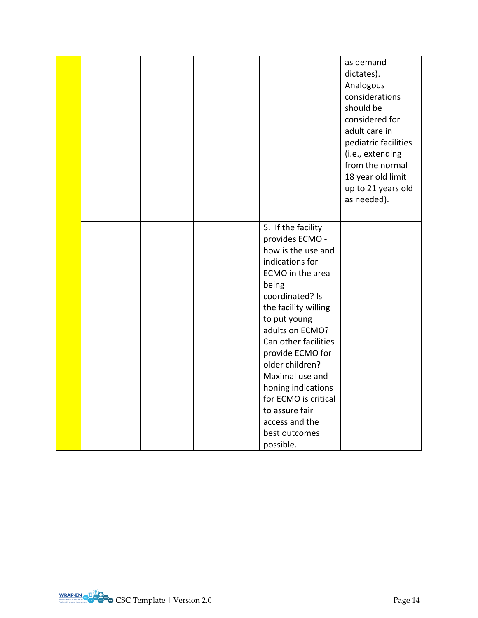|  |  |                                                                                                                                                                                                                                                          | as demand<br>dictates).<br>Analogous<br>considerations<br>should be<br>considered for<br>adult care in<br>pediatric facilities<br>(i.e., extending<br>from the normal<br>18 year old limit<br>up to 21 years old<br>as needed). |
|--|--|----------------------------------------------------------------------------------------------------------------------------------------------------------------------------------------------------------------------------------------------------------|---------------------------------------------------------------------------------------------------------------------------------------------------------------------------------------------------------------------------------|
|  |  | 5. If the facility<br>provides ECMO -<br>how is the use and<br>indications for<br>ECMO in the area<br>being<br>coordinated? Is<br>the facility willing<br>to put young<br>adults on ECMO?<br>Can other facilities<br>provide ECMO for<br>older children? |                                                                                                                                                                                                                                 |
|  |  | Maximal use and<br>honing indications<br>for ECMO is critical<br>to assure fair<br>access and the<br>best outcomes<br>possible.                                                                                                                          |                                                                                                                                                                                                                                 |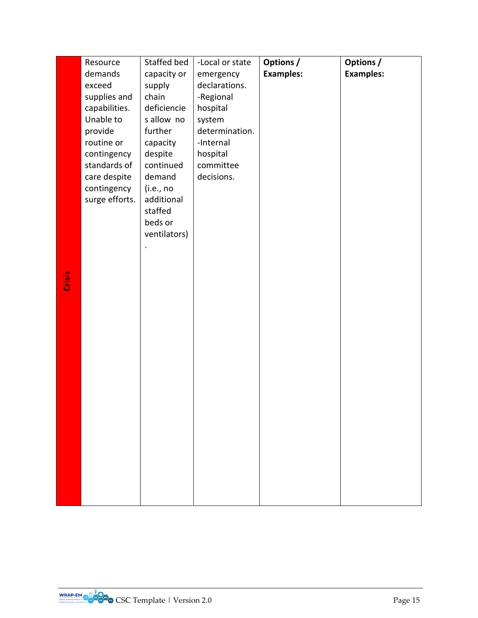|        | Resource       | Staffed bed  | -Local or state | <b>Options /</b> | Options /        |
|--------|----------------|--------------|-----------------|------------------|------------------|
|        | demands        | capacity or  | emergency       | <b>Examples:</b> | <b>Examples:</b> |
|        | exceed         | supply       | declarations.   |                  |                  |
|        | supplies and   | chain        | -Regional       |                  |                  |
|        | capabilities.  | deficiencie  | hospital        |                  |                  |
|        | Unable to      | s allow no   | system          |                  |                  |
|        | provide        | further      | determination.  |                  |                  |
|        | routine or     | capacity     | -Internal       |                  |                  |
|        | contingency    | despite      | hospital        |                  |                  |
|        | standards of   | continued    | committee       |                  |                  |
|        | care despite   | demand       | decisions.      |                  |                  |
|        | contingency    | (i.e., no    |                 |                  |                  |
|        | surge efforts. | additional   |                 |                  |                  |
|        |                | staffed      |                 |                  |                  |
|        |                | beds or      |                 |                  |                  |
|        |                | ventilators) |                 |                  |                  |
|        |                |              |                 |                  |                  |
|        |                |              |                 |                  |                  |
|        |                |              |                 |                  |                  |
| Crisis |                |              |                 |                  |                  |
|        |                |              |                 |                  |                  |
|        |                |              |                 |                  |                  |
|        |                |              |                 |                  |                  |
|        |                |              |                 |                  |                  |
|        |                |              |                 |                  |                  |
|        |                |              |                 |                  |                  |
|        |                |              |                 |                  |                  |
|        |                |              |                 |                  |                  |
|        |                |              |                 |                  |                  |
|        |                |              |                 |                  |                  |
|        |                |              |                 |                  |                  |
|        |                |              |                 |                  |                  |
|        |                |              |                 |                  |                  |
|        |                |              |                 |                  |                  |
|        |                |              |                 |                  |                  |
|        |                |              |                 |                  |                  |
|        |                |              |                 |                  |                  |
|        |                |              |                 |                  |                  |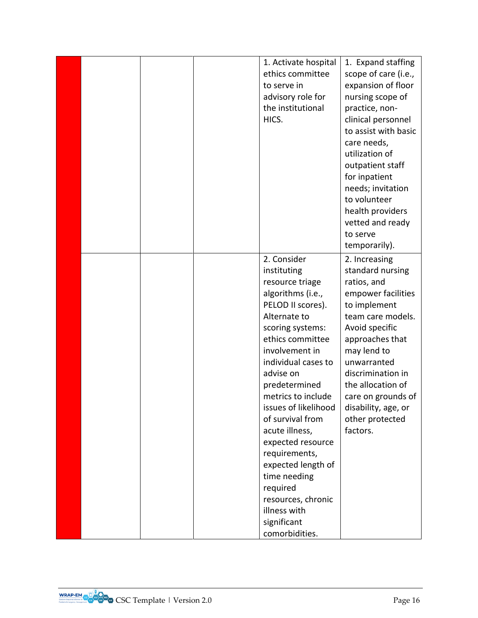|  |  | 1. Activate hospital | 1. Expand staffing   |
|--|--|----------------------|----------------------|
|  |  | ethics committee     | scope of care (i.e., |
|  |  | to serve in          | expansion of floor   |
|  |  | advisory role for    | nursing scope of     |
|  |  | the institutional    | practice, non-       |
|  |  | HICS.                | clinical personnel   |
|  |  |                      | to assist with basic |
|  |  |                      | care needs,          |
|  |  |                      | utilization of       |
|  |  |                      | outpatient staff     |
|  |  |                      | for inpatient        |
|  |  |                      | needs; invitation    |
|  |  |                      | to volunteer         |
|  |  |                      | health providers     |
|  |  |                      | vetted and ready     |
|  |  |                      | to serve             |
|  |  |                      | temporarily).        |
|  |  | 2. Consider          | 2. Increasing        |
|  |  | instituting          | standard nursing     |
|  |  | resource triage      | ratios, and          |
|  |  | algorithms (i.e.,    | empower facilities   |
|  |  | PELOD II scores).    | to implement         |
|  |  | Alternate to         | team care models.    |
|  |  | scoring systems:     | Avoid specific       |
|  |  | ethics committee     | approaches that      |
|  |  | involvement in       | may lend to          |
|  |  | individual cases to  | unwarranted          |
|  |  | advise on            | discrimination in    |
|  |  | predetermined        | the allocation of    |
|  |  | metrics to include   | care on grounds of   |
|  |  | issues of likelihood | disability, age, or  |
|  |  | of survival from     | other protected      |
|  |  | acute illness,       | factors.             |
|  |  | expected resource    |                      |
|  |  | requirements,        |                      |
|  |  | expected length of   |                      |
|  |  | time needing         |                      |
|  |  | required             |                      |
|  |  | resources, chronic   |                      |
|  |  | illness with         |                      |
|  |  | significant          |                      |
|  |  | comorbidities.       |                      |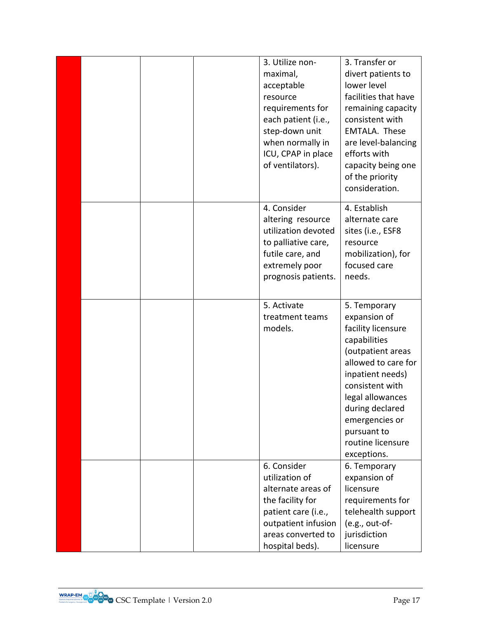|  |  | 3. Utilize non-<br>maximal,<br>acceptable<br>resource<br>requirements for<br>each patient (i.e.,<br>step-down unit<br>when normally in<br>ICU, CPAP in place<br>of ventilators). | 3. Transfer or<br>divert patients to<br>lower level<br>facilities that have<br>remaining capacity<br>consistent with<br>EMTALA. These<br>are level-balancing<br>efforts with<br>capacity being one<br>of the priority<br>consideration.                           |
|--|--|----------------------------------------------------------------------------------------------------------------------------------------------------------------------------------|-------------------------------------------------------------------------------------------------------------------------------------------------------------------------------------------------------------------------------------------------------------------|
|  |  | 4. Consider<br>altering resource<br>utilization devoted<br>to palliative care,<br>futile care, and<br>extremely poor<br>prognosis patients.                                      | 4. Establish<br>alternate care<br>sites (i.e., ESF8<br>resource<br>mobilization), for<br>focused care<br>needs.                                                                                                                                                   |
|  |  | 5. Activate<br>treatment teams<br>models.                                                                                                                                        | 5. Temporary<br>expansion of<br>facility licensure<br>capabilities<br>(outpatient areas<br>allowed to care for<br>inpatient needs)<br>consistent with<br>legal allowances<br>during declared<br>emergencies or<br>pursuant to<br>routine licensure<br>exceptions. |
|  |  | 6. Consider<br>utilization of<br>alternate areas of<br>the facility for<br>patient care (i.e.,<br>outpatient infusion<br>areas converted to<br>hospital beds).                   | 6. Temporary<br>expansion of<br>licensure<br>requirements for<br>telehealth support<br>(e.g., out-of-<br>jurisdiction<br>licensure                                                                                                                                |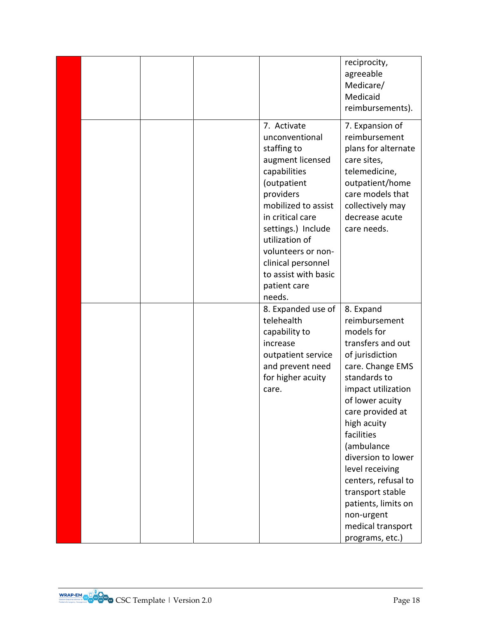|  |  |                                                                                                                                                                                                                                                                                               | reciprocity,<br>agreeable<br>Medicare/<br>Medicaid<br>reimbursements).                                                                                                                                                                                                                                                                                                                        |
|--|--|-----------------------------------------------------------------------------------------------------------------------------------------------------------------------------------------------------------------------------------------------------------------------------------------------|-----------------------------------------------------------------------------------------------------------------------------------------------------------------------------------------------------------------------------------------------------------------------------------------------------------------------------------------------------------------------------------------------|
|  |  | 7. Activate<br>unconventional<br>staffing to<br>augment licensed<br>capabilities<br>(outpatient<br>providers<br>mobilized to assist<br>in critical care<br>settings.) Include<br>utilization of<br>volunteers or non-<br>clinical personnel<br>to assist with basic<br>patient care<br>needs. | 7. Expansion of<br>reimbursement<br>plans for alternate<br>care sites,<br>telemedicine,<br>outpatient/home<br>care models that<br>collectively may<br>decrease acute<br>care needs.                                                                                                                                                                                                           |
|  |  | 8. Expanded use of<br>telehealth<br>capability to<br>increase<br>outpatient service<br>and prevent need<br>for higher acuity<br>care.                                                                                                                                                         | 8. Expand<br>reimbursement<br>models for<br>transfers and out<br>of jurisdiction<br>care. Change EMS<br>standards to<br>impact utilization<br>of lower acuity<br>care provided at<br>high acuity<br>facilities<br>(ambulance<br>diversion to lower<br>level receiving<br>centers, refusal to<br>transport stable<br>patients, limits on<br>non-urgent<br>medical transport<br>programs, etc.) |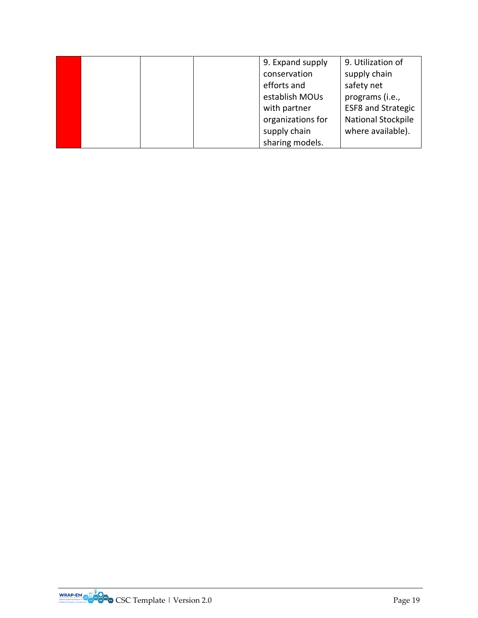|  |  | 9. Expand supply  | 9. Utilization of         |
|--|--|-------------------|---------------------------|
|  |  | conservation      | supply chain              |
|  |  | efforts and       | safety net                |
|  |  | establish MOUs    | programs (i.e.,           |
|  |  | with partner      | <b>ESF8 and Strategic</b> |
|  |  | organizations for | National Stockpile        |
|  |  | supply chain      | where available).         |
|  |  | sharing models.   |                           |